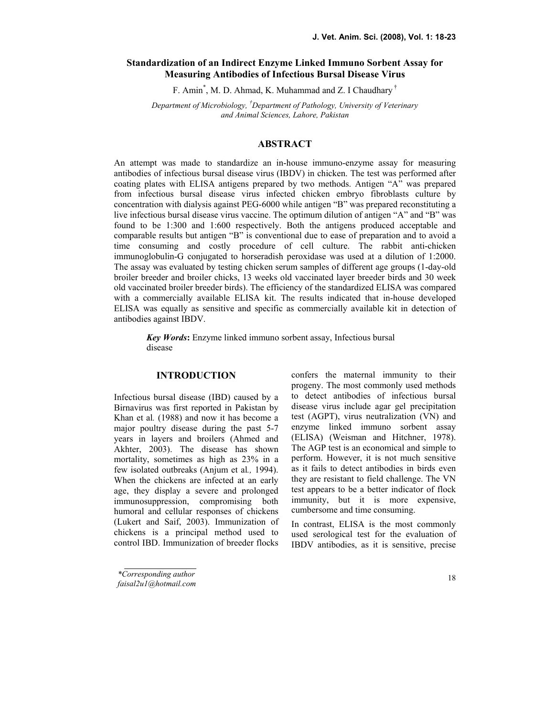# Standardization of an Indirect Enzyme Linked Immuno Sorbent Assay for Measuring Antibodies of Infectious Bursal Disease Virus

F. Amin<sup>\*</sup>, M. D. Ahmad, K. Muhammad and Z. I Chaudhary<sup>†</sup>

Department of Microbiology, <sup>†</sup>Department of Pathology, University of Veterinary and Animal Sciences, Lahore, Pakistan

# ABSTRACT

An attempt was made to standardize an in-house immuno-enzyme assay for measuring antibodies of infectious bursal disease virus (IBDV) in chicken. The test was performed after coating plates with ELISA antigens prepared by two methods. Antigen "A" was prepared from infectious bursal disease virus infected chicken embryo fibroblasts culture by concentration with dialysis against PEG-6000 while antigen "B" was prepared reconstituting a live infectious bursal disease virus vaccine. The optimum dilution of antigen "A" and "B" was found to be 1:300 and 1:600 respectively. Both the antigens produced acceptable and comparable results but antigen "B" is conventional due to ease of preparation and to avoid a time consuming and costly procedure of cell culture. The rabbit anti-chicken immunoglobulin-G conjugated to horseradish peroxidase was used at a dilution of 1:2000. The assay was evaluated by testing chicken serum samples of different age groups (1-day-old broiler breeder and broiler chicks, 13 weeks old vaccinated layer breeder birds and 30 week old vaccinated broiler breeder birds). The efficiency of the standardized ELISA was compared with a commercially available ELISA kit. The results indicated that in-house developed ELISA was equally as sensitive and specific as commercially available kit in detection of antibodies against IBDV.

Key Words: Enzyme linked immuno sorbent assay, Infectious bursal disease

#### **INTRODUCTION**

Infectious bursal disease (IBD) caused by a Birnavirus was first reported in Pakistan by Khan et al. (1988) and now it has become a major poultry disease during the past 5-7 years in layers and broilers (Ahmed and Akhter, 2003). The disease has shown mortality, sometimes as high as 23% in a few isolated outbreaks (Anjum et al., 1994). When the chickens are infected at an early age, they display a severe and prolonged immunosuppression, compromising both humoral and cellular responses of chickens (Lukert and Saif, 2003). Immunization of chickens is a principal method used to control IBD. Immunization of breeder flocks

confers the maternal immunity to their progeny. The most commonly used methods to detect antibodies of infectious bursal disease virus include agar gel precipitation test (AGPT), virus neutralization (VN) and enzyme linked immuno sorbent assay (ELISA) (Weisman and Hitchner, 1978). The AGP test is an economical and simple to perform. However, it is not much sensitive as it fails to detect antibodies in birds even they are resistant to field challenge. The VN test appears to be a better indicator of flock immunity, but it is more expensive, cumbersome and time consuming.

In contrast, ELISA is the most commonly used serological test for the evaluation of IBDV antibodies, as it is sensitive, precise

\*Corresponding author faisal2u1@hotmail.com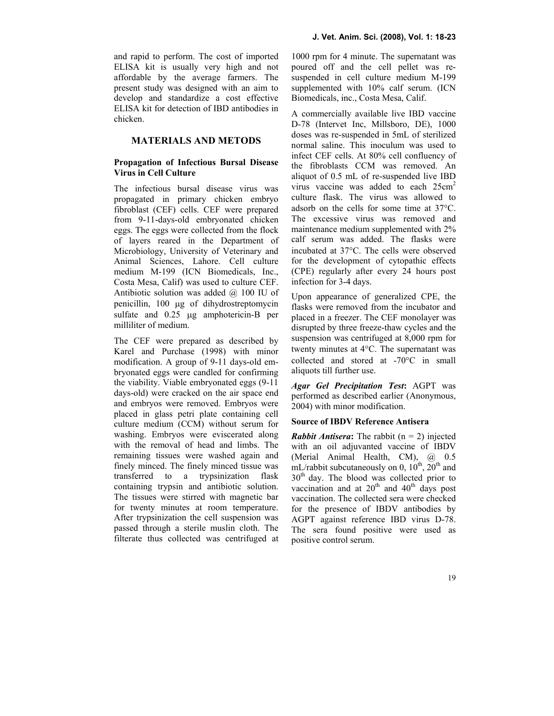and rapid to perform. The cost of imported ELISA kit is usually very high and not affordable by the average farmers. The present study was designed with an aim to develop and standardize a cost effective ELISA kit for detection of IBD antibodies in chicken.

## **MATERIALS AND METODS**

### Propagation of Infectious Bursal Disease Virus in Cell Culture

The infectious bursal disease virus was propagated in primary chicken embryo fibroblast (CEF) cells. CEF were prepared from 9-11-days-old embryonated chicken eggs. The eggs were collected from the flock of layers reared in the Department of Microbiology, University of Veterinary and Animal Sciences, Lahore. Cell culture medium M-199 (ICN Biomedicals, Inc., Costa Mesa, Calif) was used to culture CEF. Antibiotic solution was added  $(a)$  100 IU of penicillin, 100 µg of dihydrostreptomycin sulfate and  $0.25$  µg amphotericin-B per milliliter of medium.

The CEF were prepared as described by Karel and Purchase (1998) with minor modification. A group of 9-11 days-old embryonated eggs were candled for confirming the viability. Viable embryonated eggs (9-11 days-old) were cracked on the air space end and embryos were removed. Embryos were placed in glass petri plate containing cell culture medium (CCM) without serum for washing. Embryos were eviscerated along with the removal of head and limbs. The remaining tissues were washed again and finely minced. The finely minced tissue was transferred to a trypsinization flask containing trypsin and antibiotic solution. The tissues were stirred with magnetic bar for twenty minutes at room temperature. After trypsinization the cell suspension was passed through a sterile muslin cloth. The filterate thus collected was centrifuged at

1000 rpm for 4 minute. The supernatant was poured off and the cell pellet was resuspended in cell culture medium M-199 supplemented with 10% calf serum. (ICN Biomedicals, inc., Costa Mesa, Calif.

A commercially available live IBD vaccine D-78 (Intervet Inc, Millsboro, DE), 1000 doses was re-suspended in 5mL of sterilized normal saline. This inoculum was used to infect CEF cells. At 80% cell confluency of the fibroblasts CCM was removed. An aliquot of 0.5 mL of re-suspended live IBD virus vaccine was added to each  $25 \text{cm}^2$ culture flask. The virus was allowed to adsorb on the cells for some time at 37°C. The excessive virus was removed and maintenance medium supplemented with 2% calf serum was added. The flasks were incubated at 37°C. The cells were observed for the development of cytopathic effects (CPE) regularly after every 24 hours post infection for 3-4 days.

Upon appearance of generalized CPE, the flasks were removed from the incubator and placed in a freezer. The CEF monolayer was disrupted by three freeze-thaw cycles and the suspension was centrifuged at 8,000 rpm for twenty minutes at 4°C. The supernatant was collected and stored at -70°C in small aliquots till further use.

Agar Gel Precipitation Test: AGPT was performed as described earlier (Anonymous, 2004) with minor modification.

#### Source of IBDV Reference Antisera

**Rabbit Antisera:** The rabbit  $(n = 2)$  injected with an oil adjuvanted vaccine of IBDV (Merial Animal Health, CM), @ 0.5 mL/rabbit subcutaneously on 0,  $10^{th}$ ,  $20^{th}$  and 30<sup>th</sup> day. The blood was collected prior to vaccination and at  $20<sup>th</sup>$  and  $40<sup>th</sup>$  days post vaccination. The collected sera were checked for the presence of IBDV antibodies by AGPT against reference IBD virus D-78. The sera found positive were used as positive control serum.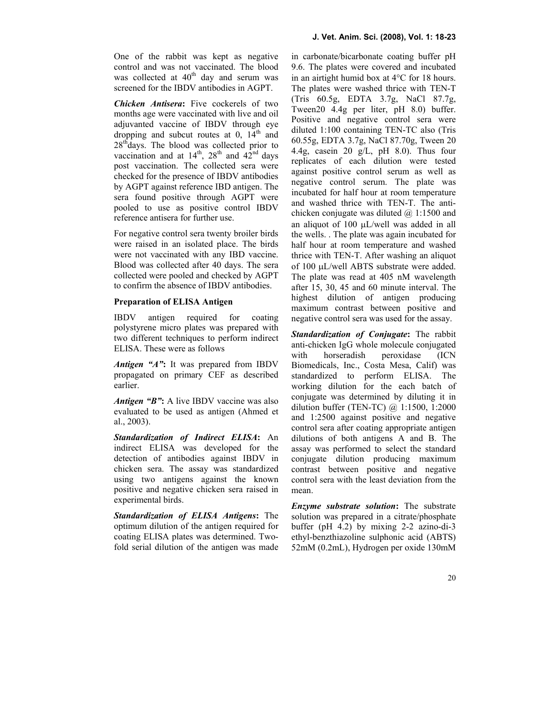One of the rabbit was kept as negative control and was not vaccinated. The blood was collected at  $40<sup>th</sup>$  day and serum was screened for the IBDV antibodies in AGPT.

Chicken Antisera: Five cockerels of two months age were vaccinated with live and oil adjuvanted vaccine of IBDV through eye dropping and subcut routes at  $0$ ,  $14<sup>th</sup>$  and  $28<sup>th</sup>$ days. The blood was collected prior to vaccination and at  $14^{th}$ ,  $28^{th}$  and  $42^{nd}$  days post vaccination. The collected sera were checked for the presence of IBDV antibodies by AGPT against reference IBD antigen. The sera found positive through AGPT were pooled to use as positive control IBDV reference antisera for further use.

For negative control sera twenty broiler birds were raised in an isolated place. The birds were not vaccinated with any IBD vaccine. Blood was collected after 40 days. The sera collected were pooled and checked by AGPT to confirm the absence of IBDV antibodies.

#### Preparation of ELISA Antigen

IBDV antigen required for coating polystyrene micro plates was prepared with two different techniques to perform indirect ELISA. These were as follows

Antigen "A": It was prepared from IBDV propagated on primary CEF as described earlier.

Antigen "B": A live IBDV vaccine was also evaluated to be used as antigen (Ahmed et al., 2003).

Standardization of Indirect ELISA: An indirect ELISA was developed for the detection of antibodies against IBDV in chicken sera. The assay was standardized using two antigens against the known positive and negative chicken sera raised in experimental birds.

Standardization of ELISA Antigens: The optimum dilution of the antigen required for coating ELISA plates was determined. Twofold serial dilution of the antigen was made in carbonate/bicarbonate coating buffer pH 9.6. The plates were covered and incubated in an airtight humid box at 4°C for 18 hours. The plates were washed thrice with TEN-T (Tris 60.5g, EDTA 3.7g, NaCl 87.7g, Tween20 4.4g per liter, pH 8.0) buffer. Positive and negative control sera were diluted 1:100 containing TEN-TC also (Tris 60.55g, EDTA 3.7g, NaCl 87.70g, Tween 20 4.4g, casein 20  $g/L$ , pH 8.0). Thus four replicates of each dilution were tested against positive control serum as well as negative control serum. The plate was incubated for half hour at room temperature and washed thrice with TEN-T. The antichicken conjugate was diluted  $(a)$  1:1500 and an aliquot of 100 µL/well was added in all the wells. . The plate was again incubated for half hour at room temperature and washed thrice with TEN-T. After washing an aliquot of 100 µL/well ABTS substrate were added. The plate was read at 405 nM wavelength after 15, 30, 45 and 60 minute interval. The highest dilution of antigen producing maximum contrast between positive and negative control sera was used for the assay.

Standardization of Conjugate: The rabbit anti-chicken IgG whole molecule conjugated with horseradish peroxidase (ICN Biomedicals, Inc., Costa Mesa, Calif) was standardized to perform ELISA. The working dilution for the each batch of conjugate was determined by diluting it in dilution buffer (TEN-TC) @ 1:1500, 1:2000 and 1:2500 against positive and negative control sera after coating appropriate antigen dilutions of both antigens A and B. The assay was performed to select the standard conjugate dilution producing maximum contrast between positive and negative control sera with the least deviation from the mean.

**Enzyme substrate solution:** The substrate solution was prepared in a citrate/phosphate buffer (pH 4.2) by mixing 2-2 azino-di-3 ethyl-benzthiazoline sulphonic acid (ABTS) 52mM (0.2mL), Hydrogen per oxide 130mM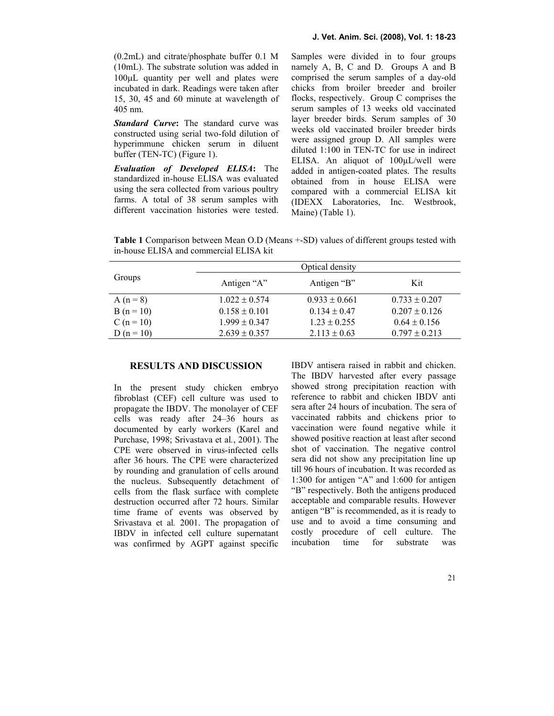(0.2mL) and citrate/phosphate buffer 0.1 M (10mL). The substrate solution was added in 100µL quantity per well and plates were incubated in dark. Readings were taken after 15, 30, 45 and 60 minute at wavelength of 405 nm.

Standard Curve: The standard curve was constructed using serial two-fold dilution of hyperimmune chicken serum in diluent buffer (TEN-TC) (Figure 1).

Evaluation of Developed ELISA: The standardized in-house ELISA was evaluated using the sera collected from various poultry farms. A total of 38 serum samples with different vaccination histories were tested.

Samples were divided in to four groups namely A, B, C and D. Groups A and B comprised the serum samples of a day-old chicks from broiler breeder and broiler flocks, respectively. Group C comprises the serum samples of 13 weeks old vaccinated layer breeder birds. Serum samples of 30 weeks old vaccinated broiler breeder birds were assigned group D. All samples were diluted 1:100 in TEN-TC for use in indirect ELISA. An aliquot of 100uL/well were added in antigen-coated plates. The results obtained from in house ELISA were compared with a commercial ELISA kit (IDEXX Laboratories, Inc. Westbrook, Maine) (Table 1).

Table 1 Comparison between Mean O.D (Means +-SD) values of different groups tested with in-house ELISA and commercial ELISA kit

| Groups         | Optical density   |                   |                   |
|----------------|-------------------|-------------------|-------------------|
|                | Antigen "A"       | Antigen "B"       | Kit               |
| A $(n = 8)$    | $1.022 \pm 0.574$ | $0.933 \pm 0.661$ | $0.733 \pm 0.207$ |
| $B(n = 10)$    | $0.158 \pm 0.101$ | $0.134 \pm 0.47$  | $0.207 \pm 0.126$ |
| $C (n = 10)$   | $1.999 \pm 0.347$ | $1.23 \pm 0.255$  | $0.64 \pm 0.156$  |
| D ( $n = 10$ ) | $2.639 \pm 0.357$ | $2.113 \pm 0.63$  | $0.797 \pm 0.213$ |

## RESULTS AND DISCUSSION

In the present study chicken embryo fibroblast (CEF) cell culture was used to propagate the IBDV. The monolayer of CEF cells was ready after 24–36 hours as documented by early workers (Karel and Purchase, 1998; Srivastava et al., 2001). The CPE were observed in virus-infected cells after 36 hours. The CPE were characterized by rounding and granulation of cells around the nucleus. Subsequently detachment of cells from the flask surface with complete destruction occurred after 72 hours. Similar time frame of events was observed by Srivastava et al. 2001. The propagation of IBDV in infected cell culture supernatant was confirmed by AGPT against specific IBDV antisera raised in rabbit and chicken. The IBDV harvested after every passage showed strong precipitation reaction with reference to rabbit and chicken IBDV anti sera after 24 hours of incubation. The sera of vaccinated rabbits and chickens prior to vaccination were found negative while it showed positive reaction at least after second shot of vaccination. The negative control sera did not show any precipitation line up till 96 hours of incubation. It was recorded as 1:300 for antigen "A" and 1:600 for antigen "B" respectively. Both the antigens produced acceptable and comparable results. However antigen "B" is recommended, as it is ready to use and to avoid a time consuming and costly procedure of cell culture. The incubation time for substrate was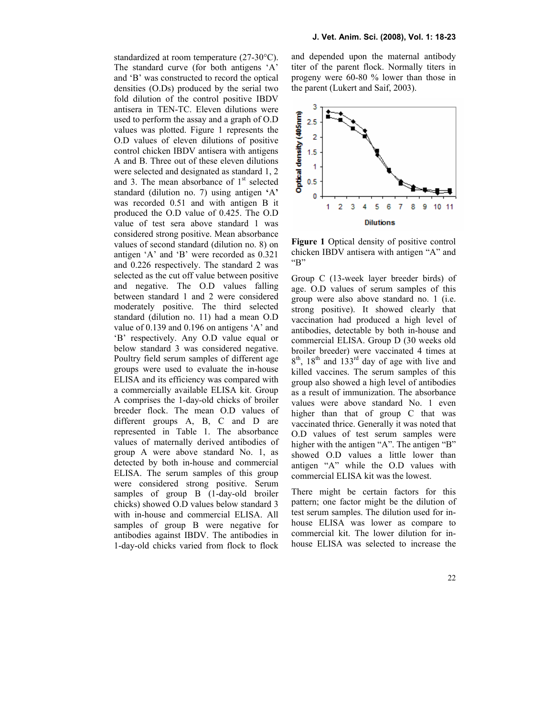standardized at room temperature (27-30°C). The standard curve (for both antigens 'A' and 'B' was constructed to record the optical densities (O.Ds) produced by the serial two fold dilution of the control positive IBDV antisera in TEN-TC. Eleven dilutions were used to perform the assay and a graph of O.D values was plotted. Figure 1 represents the O.D values of eleven dilutions of positive control chicken IBDV antisera with antigens A and B. Three out of these eleven dilutions were selected and designated as standard 1, 2 and 3. The mean absorbance of  $1<sup>st</sup>$  selected standard (dilution no. 7) using antigen 'A' was recorded 0.51 and with antigen B it produced the O.D value of 0.425. The O.D value of test sera above standard 1 was considered strong positive. Mean absorbance values of second standard (dilution no. 8) on antigen 'A' and 'B' were recorded as 0.321 and 0.226 respectively. The standard 2 was selected as the cut off value between positive and negative. The O.D values falling between standard 1 and 2 were considered moderately positive. The third selected standard (dilution no. 11) had a mean O.D value of 0.139 and 0.196 on antigens 'A' and 'B' respectively. Any O.D value equal or below standard 3 was considered negative. Poultry field serum samples of different age groups were used to evaluate the in-house ELISA and its efficiency was compared with a commercially available ELISA kit. Group A comprises the 1-day-old chicks of broiler breeder flock. The mean O.D values of different groups A, B, C and D are represented in Table 1. The absorbance values of maternally derived antibodies of group A were above standard No. 1, as detected by both in-house and commercial ELISA. The serum samples of this group were considered strong positive. Serum samples of group B (1-day-old broiler chicks) showed O.D values below standard 3 with in-house and commercial ELISA. All samples of group B were negative for antibodies against IBDV. The antibodies in 1-day-old chicks varied from flock to flock

and depended upon the maternal antibody titer of the parent flock. Normally titers in progeny were 60-80 % lower than those in the parent (Lukert and Saif, 2003).



Figure 1 Optical density of positive control chicken IBDV antisera with antigen "A" and "B"

Group C (13-week layer breeder birds) of age. O.D values of serum samples of this group were also above standard no. 1 (i.e. strong positive). It showed clearly that vaccination had produced a high level of antibodies, detectable by both in-house and commercial ELISA. Group D (30 weeks old broiler breeder) were vaccinated 4 times at  $8<sup>th</sup>$ ,  $18<sup>th</sup>$  and  $133<sup>rd</sup>$  day of age with live and killed vaccines. The serum samples of this group also showed a high level of antibodies as a result of immunization. The absorbance values were above standard No. 1 even higher than that of group C that was vaccinated thrice. Generally it was noted that O.D values of test serum samples were higher with the antigen "A". The antigen "B" showed O.D values a little lower than antigen "A" while the O.D values with commercial ELISA kit was the lowest.

There might be certain factors for this pattern; one factor might be the dilution of test serum samples. The dilution used for inhouse ELISA was lower as compare to commercial kit. The lower dilution for inhouse ELISA was selected to increase the